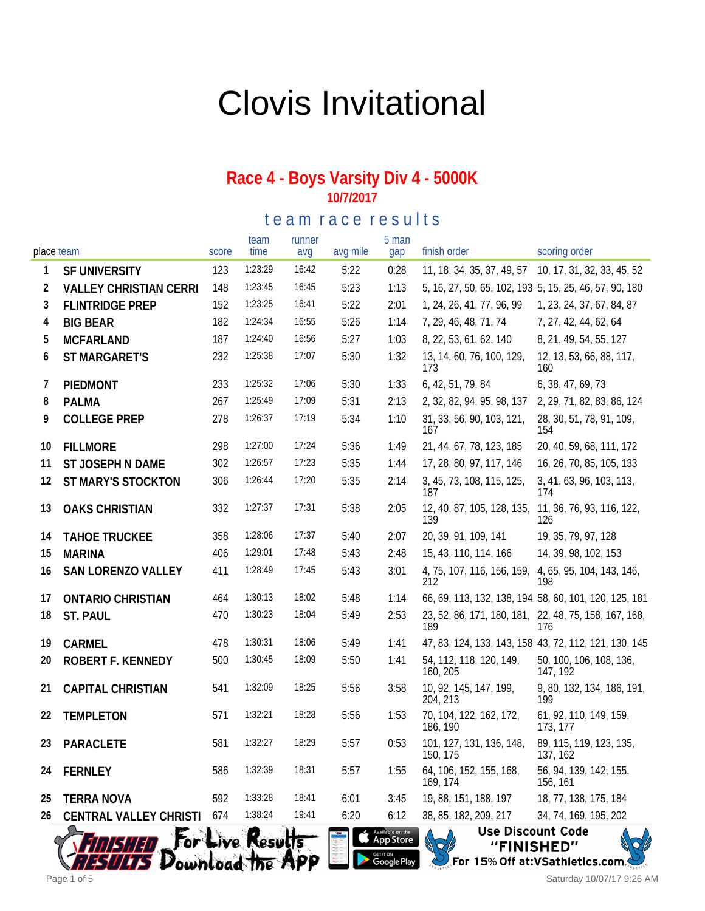# Clovis Invitational

#### **Race 4 - Boys Varsity Div 4 - 5000K 10/7/2017**

te am race results

| place team |                               | score | team<br>time | runner<br>avg | avg mile | 5 man<br>gap | finish order                                                 | scoring order                                         |
|------------|-------------------------------|-------|--------------|---------------|----------|--------------|--------------------------------------------------------------|-------------------------------------------------------|
| 1          | SF UNIVERSITY                 | 123   | 1:23:29      | 16:42         | 5:22     | 0:28         | 11, 18, 34, 35, 37, 49, 57                                   | 10, 17, 31, 32, 33, 45, 52                            |
| 2          | <b>VALLEY CHRISTIAN CERRI</b> | 148   | 1:23:45      | 16:45         | 5:23     | 1:13         | 5, 16, 27, 50, 65, 102, 193 5, 15, 25, 46, 57, 90, 180       |                                                       |
| 3          | <b>FLINTRIDGE PREP</b>        | 152   | 1:23:25      | 16:41         | 5:22     | 2:01         | 1, 24, 26, 41, 77, 96, 99                                    | 1, 23, 24, 37, 67, 84, 87                             |
| 4          | <b>BIG BEAR</b>               | 182   | 1:24:34      | 16:55         | 5:26     | 1:14         | 7, 29, 46, 48, 71, 74                                        | 7, 27, 42, 44, 62, 64                                 |
| 5          | <b>MCFARLAND</b>              | 187   | 1:24:40      | 16:56         | 5:27     | 1:03         | 8, 22, 53, 61, 62, 140                                       | 8, 21, 49, 54, 55, 127                                |
| 6          | ST MARGARET'S                 | 232   | 1:25:38      | 17:07         | 5:30     | 1:32         | 13, 14, 60, 76, 100, 129,<br>173                             | 12, 13, 53, 66, 88, 117,<br>160                       |
| 7          | PIEDMONT                      | 233   | 1:25:32      | 17:06         | 5:30     | 1:33         | 6, 42, 51, 79, 84                                            | 6, 38, 47, 69, 73                                     |
| 8          | <b>PALMA</b>                  | 267   | 1:25:49      | 17:09         | 5:31     | 2:13         | 2, 32, 82, 94, 95, 98, 137                                   | 2, 29, 71, 82, 83, 86, 124                            |
| 9          | <b>COLLEGE PREP</b>           | 278   | 1:26:37      | 17:19         | 5:34     | 1:10         | 31, 33, 56, 90, 103, 121,<br>167                             | 28, 30, 51, 78, 91, 109,<br>154                       |
| 10         | <b>FILLMORE</b>               | 298   | 1:27:00      | 17:24         | 5:36     | 1:49         | 21, 44, 67, 78, 123, 185                                     | 20, 40, 59, 68, 111, 172                              |
| 11         | ST JOSEPH N DAME              | 302   | 1:26:57      | 17:23         | 5:35     | 1:44         | 17, 28, 80, 97, 117, 146                                     | 16, 26, 70, 85, 105, 133                              |
| 12         | ST MARY'S STOCKTON            | 306   | 1:26:44      | 17:20         | 5:35     | 2:14         | 3, 45, 73, 108, 115, 125,<br>187                             | 3, 41, 63, 96, 103, 113,<br>174                       |
| 13         | <b>OAKS CHRISTIAN</b>         | 332   | 1:27:37      | 17:31         | 5:38     | 2:05         | 12, 40, 87, 105, 128, 135,<br>139                            | 11, 36, 76, 93, 116, 122,<br>126                      |
| 14         | <b>TAHOE TRUCKEE</b>          | 358   | 1:28:06      | 17:37         | 5:40     | 2:07         | 20, 39, 91, 109, 141                                         | 19, 35, 79, 97, 128                                   |
| 15         | <b>MARINA</b>                 | 406   | 1:29:01      | 17:48         | 5:43     | 2:48         | 15, 43, 110, 114, 166                                        | 14, 39, 98, 102, 153                                  |
| 16         | SAN LORENZO VALLEY            | 411   | 1:28:49      | 17:45         | 5:43     | 3:01         | 4, 75, 107, 116, 156, 159, 4, 65, 95, 104, 143, 146,<br>212  | 198                                                   |
| 17         | <b>ONTARIO CHRISTIAN</b>      | 464   | 1:30:13      | 18:02         | 5:48     | 1:14         |                                                              | 66, 69, 113, 132, 138, 194 58, 60, 101, 120, 125, 181 |
| 18         | ST. PAUL                      | 470   | 1:30:23      | 18:04         | 5:49     | 2:53         | 23, 52, 86, 171, 180, 181, 22, 48, 75, 158, 167, 168,<br>189 | 176                                                   |
| 19         | CARMEL                        | 478   | 1:30:31      | 18:06         | 5:49     | 1:41         |                                                              | 47, 83, 124, 133, 143, 158 43, 72, 112, 121, 130, 145 |
| 20         | ROBERT F. KENNEDY             | 500   | 1:30:45      | 18:09         | 5:50     | 1:41         | 54, 112, 118, 120, 149,<br>160, 205                          | 50, 100, 106, 108, 136,<br>147, 192                   |
| 21         | <b>CAPITAL CHRISTIAN</b>      | 541   | 1:32:09      | 18:25         | 5:56     | 3:58         | 10, 92, 145, 147, 199,<br>204, 213                           | 9, 80, 132, 134, 186, 191,<br>199                     |
| 22         | <b>TEMPLETON</b>              | 571   | 1:32:21      | 18:28         | 5:56     | 1:53         | 70, 104, 122, 162, 172,<br>186, 190                          | 61, 92, 110, 149, 159,<br>173, 177                    |
| 23         | PARACLETE                     | 581   | 1:32:27      | 18:29         | 5:57     | 0:53         | 101, 127, 131, 136, 148,<br>150, 175                         | 89, 115, 119, 123, 135,<br>137, 162                   |
| 24         | <b>FERNLEY</b>                | 586   | 1:32:39      | 18:31         | 5:57     | 1:55         | 64, 106, 152, 155, 168,<br>169, 174                          | 56, 94, 139, 142, 155,<br>156, 161                    |
| 25         | <b>TERRA NOVA</b>             | 592   | 1:33:28      | 18:41         | 6:01     | 3:45         | 19, 88, 151, 188, 197                                        | 18, 77, 138, 175, 184                                 |
| 26         | <b>CENTRAL VALLEY CHRISTI</b> | 674   | 1:38:24      | 19:41         | 6:20     | 6:12         | 38, 85, 182, 209, 217                                        | 34, 74, 169, 195, 202<br>$\overline{\phantom{a}}$     |



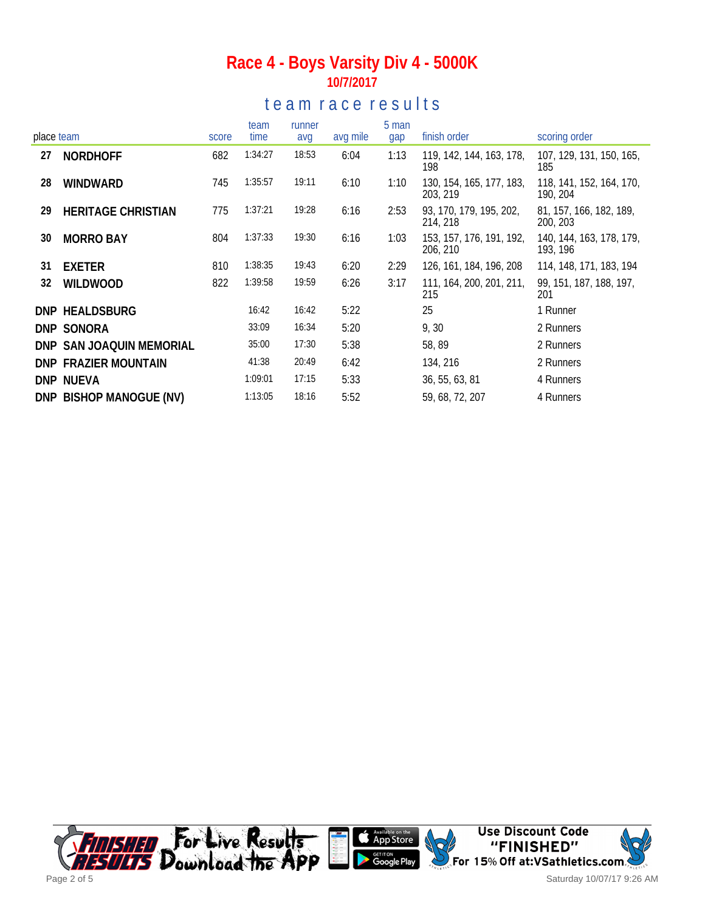### **Race 4 - Boys Varsity Div 4 - 5000K 10/7/2017**

### te am race results

| place team |                           | score | team<br>time | runner<br>avg | avg mile | 5 man<br>gap | finish order                         | scoring order                        |
|------------|---------------------------|-------|--------------|---------------|----------|--------------|--------------------------------------|--------------------------------------|
| 27         | <b>NORDHOFF</b>           | 682   | 1:34:27      | 18:53         | 6:04     | 1:13         | 119, 142, 144, 163, 178,<br>198      | 107, 129, 131, 150, 165,<br>185      |
| 28         | WINDWARD                  | 745   | 1:35:57      | 19:11         | 6:10     | 1:10         | 130, 154, 165, 177, 183,<br>203, 219 | 118, 141, 152, 164, 170,<br>190, 204 |
| 29         | <b>HERITAGE CHRISTIAN</b> | 775   | 1:37:21      | 19:28         | 6:16     | 2:53         | 93, 170, 179, 195, 202,<br>214, 218  | 81, 157, 166, 182, 189,<br>200, 203  |
| 30         | <b>MORRO BAY</b>          | 804   | 1:37:33      | 19:30         | 6:16     | 1:03         | 153, 157, 176, 191, 192,<br>206, 210 | 140, 144, 163, 178, 179,<br>193, 196 |
| 31         | <b>EXETER</b>             | 810   | 1:38:35      | 19:43         | 6:20     | 2:29         | 126, 161, 184, 196, 208              | 114, 148, 171, 183, 194              |
| 32         | <b>WILDWOOD</b>           | 822   | 1:39:58      | 19:59         | 6:26     | 3:17         | 111, 164, 200, 201, 211,<br>215      | 99, 151, 187, 188, 197,<br>201       |
|            | DNP HEALDSBURG            |       | 16:42        | 16:42         | 5:22     |              | 25                                   | 1 Runner                             |
|            | DNP SONORA                |       | 33:09        | 16:34         | 5:20     |              | 9, 30                                | 2 Runners                            |
|            | DNP SAN JOAQUIN MEMORIAL  |       | 35:00        | 17:30         | 5:38     |              | 58,89                                | 2 Runners                            |
|            | DNP FRAZIER MOUNTAIN      |       | 41:38        | 20:49         | 6:42     |              | 134, 216                             | 2 Runners                            |
|            | DNP NUEVA                 |       | 1:09:01      | 17:15         | 5:33     |              | 36, 55, 63, 81                       | 4 Runners                            |
|            | DNP BISHOP MANOGUE (NV)   |       | 1:13:05      | 18:16         | 5:52     |              | 59, 68, 72, 207                      | 4 Runners                            |

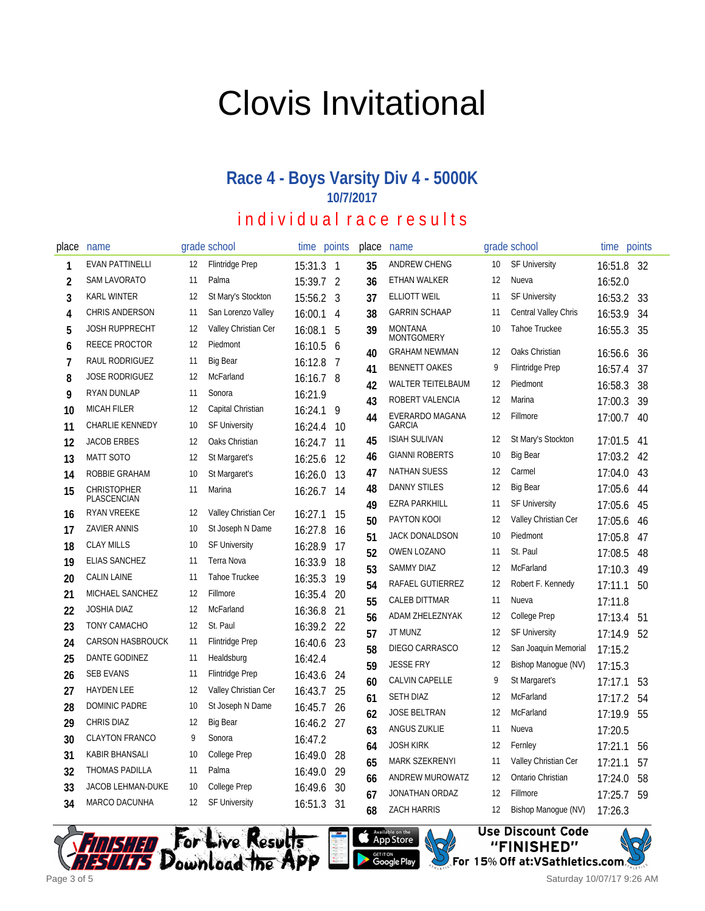# Clovis Invitational

#### **Race 4 - Boys Varsity Div 4 - 5000K 10/7/2017**

## individual race results

| place          | name                              |    | grade school           | time      | points         | place | name                                |    | grade school           | time    | points |
|----------------|-----------------------------------|----|------------------------|-----------|----------------|-------|-------------------------------------|----|------------------------|---------|--------|
| 1              | <b>EVAN PATTINELLI</b>            | 12 | <b>Flintridge Prep</b> | 15:31.3 1 |                | 35    | <b>ANDREW CHENG</b>                 | 10 | <b>SF University</b>   | 16:51.8 | - 32   |
| 2              | <b>SAM LAVORATO</b>               | 11 | Palma                  | 15:39.7   | $\overline{2}$ | 36    | ETHAN WALKER                        | 12 | Nueva                  | 16:52.0 |        |
| 3              | <b>KARL WINTER</b>                | 12 | St Mary's Stockton     | 15:56.2   | 3              | 37    | <b>ELLIOTT WEIL</b>                 | 11 | <b>SF University</b>   | 16:53.2 | 33     |
| 4              | <b>CHRIS ANDERSON</b>             | 11 | San Lorenzo Valley     | 16:00.1   | 4              | 38    | <b>GARRIN SCHAAP</b>                | 11 | Central Valley Chris   | 16:53.9 | 34     |
| 5              | <b>JOSH RUPPRECHT</b>             | 12 | Valley Christian Cer   | 16:08.1   | 5              | 39    | <b>MONTANA</b><br><b>MONTGOMERY</b> | 10 | <b>Tahoe Truckee</b>   | 16:55.3 | 35     |
| 6              | REECE PROCTOR                     | 12 | Piedmont               | 16:10.5   | 6              | 40    | <b>GRAHAM NEWMAN</b>                | 12 | Oaks Christian         | 16:56.6 | 36     |
| $\overline{1}$ | RAUL RODRIGUEZ                    | 11 | <b>Big Bear</b>        | 16:12.8   | 7              | 41    | <b>BENNETT OAKES</b>                | 9  | <b>Flintridge Prep</b> | 16:57.4 | 37     |
| 8              | <b>JOSE RODRIGUEZ</b>             | 12 | McFarland              | 16:16.7 8 |                | 42    | <b>WALTER TEITELBAUM</b>            | 12 | Piedmont               | 16:58.3 | 38     |
| 9              | <b>RYAN DUNLAP</b>                | 11 | Sonora                 | 16:21.9   |                | 43    | ROBERT VALENCIA                     | 12 | Marina                 | 17:00.3 | 39     |
| 10             | <b>MICAH FILER</b>                | 12 | Capital Christian      | 16:24.1   | 9              | 44    | EVERARDO MAGANA                     | 12 | Fillmore               | 17:00.7 | 40     |
| 11             | CHARLIE KENNEDY                   | 10 | <b>SF University</b>   | 16:24.4   | 10             |       | <b>GARCIA</b>                       |    |                        |         |        |
| 12             | <b>JACOB ERBES</b>                | 12 | Oaks Christian         | 16:24.7   | 11             | 45    | <b>ISIAH SULIVAN</b>                | 12 | St Mary's Stockton     | 17:01.5 | 41     |
| 13             | <b>MATT SOTO</b>                  | 12 | St Margaret's          | 16:25.6   | 12             | 46    | <b>GIANNI ROBERTS</b>               | 10 | <b>Big Bear</b>        | 17:03.2 | 42     |
| 14             | ROBBIE GRAHAM                     | 10 | St Margaret's          | 16:26.0   | 13             | 47    | <b>NATHAN SUESS</b>                 | 12 | Carmel                 | 17:04.0 | 43     |
| 15             | <b>CHRISTOPHER</b><br>PLASCENCIAN | 11 | Marina                 | 16:26.7   | 14             | 48    | <b>DANNY STILES</b>                 | 12 | <b>Big Bear</b>        | 17:05.6 | 44     |
| 16             | <b>RYAN VREEKE</b>                | 12 | Valley Christian Cer   | 16:27.1   | 15             | 49    | <b>EZRA PARKHILL</b>                | 11 | <b>SF University</b>   | 17:05.6 | 45     |
| 17             | <b>ZAVIER ANNIS</b>               | 10 | St Joseph N Dame       | 16:27.8   | 16             | 50    | PAYTON KOOI                         | 12 | Valley Christian Cer   | 17:05.6 | 46     |
| 18             | <b>CLAY MILLS</b>                 | 10 | <b>SF University</b>   | 16:28.9   | 17             | 51    | JACK DONALDSON                      | 10 | Piedmont               | 17:05.8 | 47     |
| 19             | <b>ELIAS SANCHEZ</b>              | 11 | Terra Nova             | 16:33.9   | 18             | 52    | <b>OWEN LOZANO</b>                  | 11 | St. Paul               | 17:08.5 | 48     |
| 20             | <b>CALIN LAINE</b>                | 11 | Tahoe Truckee          | 16:35.3   | 19             | 53    | <b>SAMMY DIAZ</b>                   | 12 | McFarland              | 17:10.3 | 49     |
| 21             | MICHAEL SANCHEZ                   | 12 | Fillmore               | 16:35.4   | 20             | 54    | RAFAEL GUTIERREZ                    | 12 | Robert F. Kennedy      | 17:11.1 | 50     |
| 22             | <b>JOSHIA DIAZ</b>                | 12 | McFarland              | 16:36.8   | 21             | 55    | <b>CALEB DITTMAR</b>                | 11 | Nueva                  | 17:11.8 |        |
| 23             | TONY CAMACHO                      | 12 | St. Paul               | 16:39.2   | 22             | 56    | ADAM ZHELEZNYAK                     | 12 | College Prep           | 17:13.4 | 51     |
| 24             | <b>CARSON HASBROUCK</b>           | 11 | <b>Flintridge Prep</b> | 16:40.6   | 23             | 57    | JT MUNZ                             | 12 | <b>SF University</b>   | 17:14.9 | 52     |
| 25             | DANTE GODINEZ                     | 11 | Healdsburg             | 16:42.4   |                | 58    | DIEGO CARRASCO                      | 12 | San Joaquin Memorial   | 17:15.2 |        |
| 26             | <b>SEB EVANS</b>                  | 11 | <b>Flintridge Prep</b> | 16:43.6   | 24             | 59    | <b>JESSE FRY</b>                    | 12 | Bishop Manoque (NV)    | 17:15.3 |        |
| 27             | <b>HAYDEN LEE</b>                 | 12 | Valley Christian Cer   | 16:43.7   | 25             | 60    | <b>CALVIN CAPELLE</b>               | 9  | St Margaret's          | 17:17.1 | 53     |
| 28             | <b>DOMINIC PADRE</b>              | 10 | St Joseph N Dame       | 16:45.7   | 26             | 61    | <b>SETH DIAZ</b>                    | 12 | McFarland              | 17:17.2 | 54     |
| 29             | <b>CHRIS DIAZ</b>                 | 12 | <b>Big Bear</b>        | 16:46.2   | 27             | 62    | <b>JOSE BELTRAN</b>                 | 12 | McFarland              | 17:19.9 | 55     |
| 30             | <b>CLAYTON FRANCO</b>             | 9  | Sonora                 | 16:47.2   |                | 63    | ANGUS ZUKLIE                        | 11 | Nueva                  | 17:20.5 |        |
| 31             | <b>KABIR BHANSALI</b>             | 10 | College Prep           | 16:49.0   |                | 64    | <b>JOSH KIRK</b>                    | 12 | Fernley                | 17:21.1 | 56     |
|                | <b>THOMAS PADILLA</b>             | 11 | Palma                  |           | 28             | 65    | <b>MARK SZEKRENYI</b>               | 11 | Valley Christian Cer   | 17:21.1 | 57     |
| 32             | <b>JACOB LEHMAN-DUKE</b>          | 10 |                        | 16:49.0   | 29             | 66    | ANDREW MUROWATZ                     | 12 | Ontario Christian      | 17:24.0 | 58     |
| 33             |                                   |    | College Prep           | 16:49.6   | 30             | 67    | JONATHAN ORDAZ                      | 12 | Fillmore               | 17:25.7 | 59     |
| 34             | MARCO DACUNHA                     | 12 | <b>SF University</b>   | 16:51.3   | 31             | 68    | <b>ZACH HARRIS</b>                  | 12 | Bishop Manogue (NV)    | 17:26.3 |        |



Available on the App Store **Google Play** 

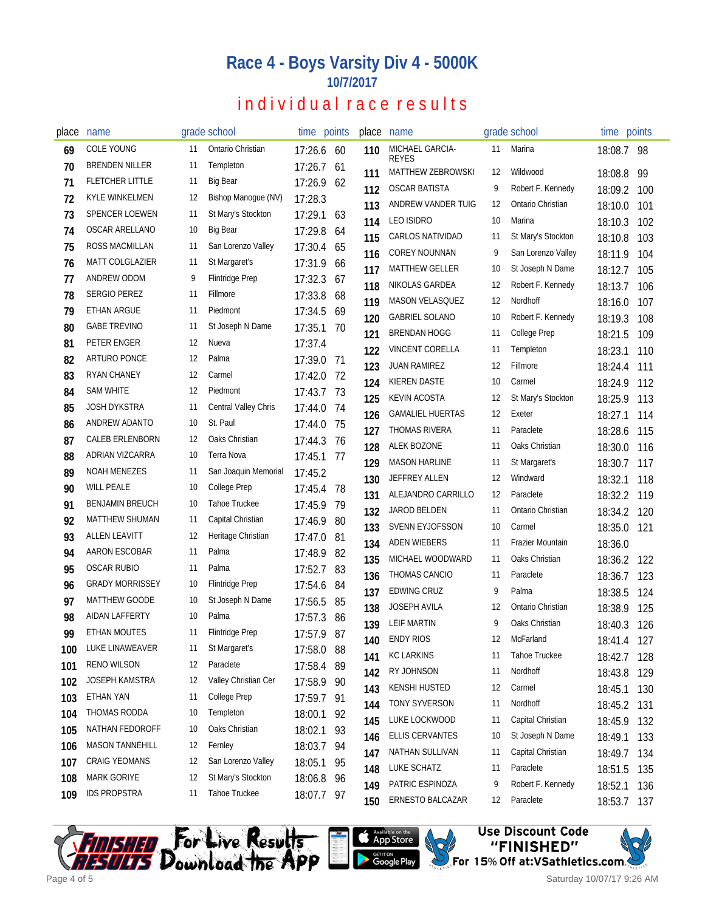## **Race 4 - Boys Varsity Div 4 - 5000K 10/7/2017**

## individual race results

| place | name                   |     | grade school           | time points |      | place      | name                            |    | grade school       | time points        |            |
|-------|------------------------|-----|------------------------|-------------|------|------------|---------------------------------|----|--------------------|--------------------|------------|
| 69    | <b>COLE YOUNG</b>      | 11  | Ontario Christian      | 17:26.6     | 60   | 110        | MICHAEL GARCIA-<br><b>REYES</b> | 11 | Marina             | 18:08.7 98         |            |
| 70    | <b>BRENDEN NILLER</b>  | 11  | Templeton              | 17:26.7     | 61   | 111        | MATTHEW ZEBROWSKI               | 12 | Wildwood           | 18:08.8            | -99        |
| 71    | <b>FLETCHER LITTLE</b> | 11  | <b>Big Bear</b>        | 17:26.9     | 62   | 112        | <b>OSCAR BATISTA</b>            | 9  | Robert F. Kennedy  | 18:09.2            | 100        |
| 72    | <b>KYLE WINKELMEN</b>  | 12  | Bishop Manogue (NV)    | 17:28.3     |      | 113        | ANDREW VANDER TUIG              | 12 | Ontario Christian  | 18:10.0            | 101        |
| 73    | SPENCER LOEWEN         | 11  | St Mary's Stockton     | 17:29.1     | 63   | 114        | <b>LEO ISIDRO</b>               | 10 | Marina             | 18:10.3            | 102        |
| 74    | OSCAR ARELLANO         | 10  | <b>Big Bear</b>        | 17:29.8     | 64   | 115        | <b>CARLOS NATIVIDAD</b>         | 11 | St Mary's Stockton | 18:10.8            | 103        |
| 75    | ROSS MACMILLAN         | 11  | San Lorenzo Valley     | 17:30.4     | 65   | 116        | <b>COREY NOUNNAN</b>            | 9  | San Lorenzo Valley | 18:11.9            | 104        |
| 76    | MATT COLGLAZIER        | 11  | St Margaret's          | 17:31.9     | 66   | 117        | <b>MATTHEW GELLER</b>           | 10 | St Joseph N Dame   | 18:12.7            | 105        |
| 77    | ANDREW ODOM            | 9   | Flintridge Prep        | 17:32.3     | 67   | 118        | NIKOLAS GARDEA                  | 12 | Robert F. Kennedy  | 18:13.7            | 106        |
| 78    | <b>SERGIO PEREZ</b>    | -11 | Fillmore               | 17:33.8     | 68   | 119        | MASON VELASQUEZ                 | 12 | Nordhoff           |                    |            |
| 79    | <b>ETHAN ARGUE</b>     | -11 | Piedmont               | 17:34.5     | 69   |            | <b>GABRIEL SOLANO</b>           | 10 | Robert F. Kennedy  | 18:16.0            | 107        |
| 80    | <b>GABE TREVINO</b>    | 11  | St Joseph N Dame       | 17:35.1     | 70   | 120<br>121 | <b>BRENDAN HOGG</b>             | 11 | College Prep       | 18:19.3<br>18:21.5 | 108<br>109 |
| 81    | PETER ENGER            | 12  | Nueva                  | 17:37.4     |      |            | <b>VINCENT CORELLA</b>          | 11 | Templeton          |                    |            |
| 82    | <b>ARTURO PONCE</b>    | 12  | Palma                  | 17:39.0     | -71  | 122        | <b>JUAN RAMIREZ</b>             | 12 | Fillmore           | 18:23.1            | 110        |
| 83    | <b>RYAN CHANEY</b>     | 12  | Carmel                 | 17:42.0     | -72  | 123        | KIEREN DASTE                    | 10 | Carmel             | 18:24.4            | 111        |
| 84    | <b>SAM WHITE</b>       | 12  | Piedmont               | 17:43.7 73  |      | 124        | KEVIN ACOSTA                    | 12 | St Mary's Stockton | 18:24.9            | 112        |
| 85    | <b>JOSH DYKSTRA</b>    | 11  | Central Valley Chris   | 17:44.0     | -74  | 125        |                                 |    |                    | 18:25.9            | 113        |
| 86    | ANDREW ADANTO          | 10  | St. Paul               | 17:44.0     | 75   | 126        | <b>GAMALIEL HUERTAS</b>         | 12 | Exeter             | 18:27.1            | 114        |
| 87    | <b>CALEB ERLENBORN</b> | 12  | Oaks Christian         | 17:44.3     | - 76 | 127        | <b>THOMAS RIVERA</b>            | 11 | Paraclete          | 18:28.6            | 115        |
| 88    | ADRIAN VIZCARRA        | 10  | Terra Nova             | 17:45.1     | -77  | 128        | ALEK BOZONE                     | 11 | Oaks Christian     | 18:30.0            | 116        |
| 89    | <b>NOAH MENEZES</b>    | 11  | San Joaquin Memorial   | 17:45.2     |      | 129        | <b>MASON HARLINE</b>            | 11 | St Margaret's      | 18:30.7            | 117        |
| 90    | <b>WILL PEALE</b>      | 10  | College Prep           | 17:45.4     | 78   | 130        | <b>JEFFREY ALLEN</b>            | 12 | Windward           | 18:32.1            | 118        |
| 91    | <b>BENJAMIN BREUCH</b> | 10  | <b>Tahoe Truckee</b>   | 17:45.9     | 79   | 131        | ALEJANDRO CARRILLO              | 12 | Paraclete          | 18:32.2            | 119        |
| 92    | <b>MATTHEW SHUMAN</b>  | 11  | Capital Christian      | 17:46.9     | 80   | 132        | JAROD BELDEN                    | 11 | Ontario Christian  | 18:34.2            | 120        |
| 93    | ALLEN LEAVITT          | 12  | Heritage Christian     | 17:47.0     | 81   | 133        | <b>SVENN EYJOFSSON</b>          | 10 | Carmel             | 18:35.0            | 121        |
| 94    | AARON ESCOBAR          | 11  | Palma                  | 17:48.9     | 82   | 134        | <b>ADEN WIEBERS</b>             | 11 | Frazier Mountain   | 18:36.0            |            |
| 95    | <b>OSCAR RUBIO</b>     | 11  | Palma                  | 17:52.7     | 83   | 135        | MICHAEL WOODWARD                | 11 | Oaks Christian     | 18:36.2            | 122        |
| 96    | <b>GRADY MORRISSEY</b> | 10  | <b>Flintridge Prep</b> | 17:54.6     | 84   | 136        | THOMAS CANCIO                   | 11 | Paraclete          | 18:36.7            | 123        |
| 97    | MATTHEW GOODE          | 10  | St Joseph N Dame       | 17:56.5     | 85   | 137        | <b>EDWING CRUZ</b>              | 9  | Palma              | 18:38.5            | 124        |
| 98    | AIDAN LAFFERTY         | 10  | Palma                  | 17:57.3     | 86   | 138        | <b>JOSEPH AVILA</b>             | 12 | Ontario Christian  | 18:38.9            | 125        |
| 99    | <b>ETHAN MOUTES</b>    | 11  | <b>Flintridge Prep</b> | 17:57.9     | 87   | 139        | LEIF MARTIN                     | 9  | Oaks Christian     | 18:40.3            | 126        |
| 100   | LUKE LINAWEAVER        | 11  | St Margaret's          | 17:58.0 88  |      | 140        | <b>ENDY RIOS</b>                | 12 | McFarland          | 18:41.4            | 127        |
| 101   | <b>RENO WILSON</b>     | 12  | Paraclete              | 17:58.4     | 89   | 141        | <b>KC LARKINS</b>               | 11 | Tahoe Truckee      | 18:42.7            | 128        |
| 102   | JOSEPH KAMSTRA         | 12  | Valley Christian Cer   | 17:58.9     | 90   | 142        | RY JOHNSON                      | 11 | Nordhoff           | 18:43.8            | 129        |
| 103   | ETHAN YAN              | 11  | <b>College Prep</b>    | 17:59.7     | 91   | 143        | KENSHI HUSTED                   | 12 | Carmel             | 18:45.1            | 130        |
| 104   | THOMAS RODDA           | 10  | Templeton              | 18:00.1     | 92   | 144        | TONY SYVERSON                   | 11 | Nordhoff           | 18:45.2            | 131        |
| 105   | NATHAN FEDOROFF        | 10  | Oaks Christian         | 18:02.1     | 93   | 145        | LUKE LOCKWOOD                   | 11 | Capital Christian  | 18:45.9            | 132        |
| 106   | <b>MASON TANNEHILL</b> | 12  | Fernley                | 18:03.7     | 94   | 146        | ELLIS CERVANTES                 | 10 | St Joseph N Dame   | 18:49.1            | 133        |
| 107   | <b>CRAIG YEOMANS</b>   | 12  | San Lorenzo Valley     | 18:05.1     | 95   | 147        | NATHAN SULLIVAN                 | 11 | Capital Christian  | 18:49.7            | 134        |
| 108   | MARK GORIYE            | 12  | St Mary's Stockton     | 18:06.8     | 96   | 148        | LUKE SCHATZ                     | 11 | Paraclete          | 18:51.5            | 135        |
| 109   | <b>IDS PROPSTRA</b>    | 11  | Tahoe Truckee          | 18:07.7     | 97   | 149        | PATRIC ESPINOZA                 | 9  | Robert F. Kennedy  | 18:52.1            | 136        |
|       |                        |     |                        |             |      | 150        | ERNESTO BALCAZAR                | 12 | Paraclete          | 18:53.7            | 137        |